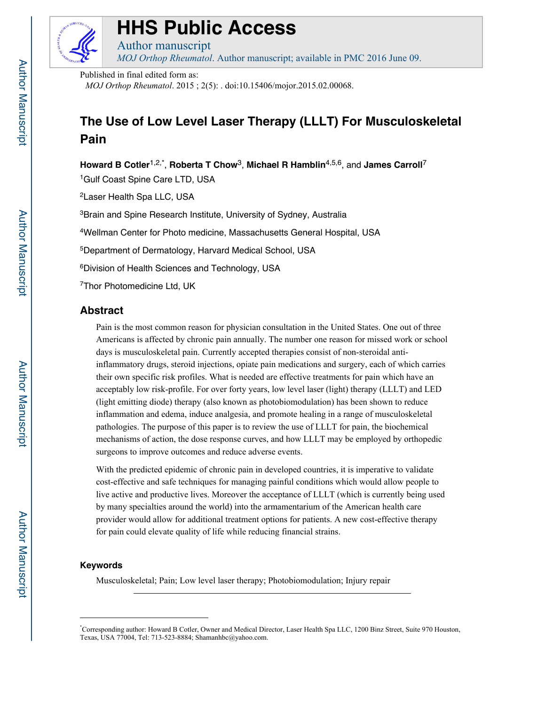

# **HHS Public Access**

*MOJ Orthop Rheumatol*. Author manuscript; available in PMC 2016 June 09.

Published in final edited form as:

Author manuscript

*MOJ Orthop Rheumatol*. 2015 ; 2(5): . doi:10.15406/mojor.2015.02.00068.

# **The Use of Low Level Laser Therapy (LLLT) For Musculoskeletal Pain**

**Howard B Cotler**1,2,\*, **Roberta T Chow**3, **Michael R Hamblin**4,5,6, and **James Carroll**<sup>7</sup> <sup>1</sup>Gulf Coast Spine Care LTD, USA

2Laser Health Spa LLC, USA

<sup>3</sup>Brain and Spine Research Institute, University of Sydney, Australia

4Wellman Center for Photo medicine, Massachusetts General Hospital, USA

5Department of Dermatology, Harvard Medical School, USA

6Division of Health Sciences and Technology, USA

7Thor Photomedicine Ltd, UK

# **Abstract**

Pain is the most common reason for physician consultation in the United States. One out of three Americans is affected by chronic pain annually. The number one reason for missed work or school days is musculoskeletal pain. Currently accepted therapies consist of non-steroidal antiinflammatory drugs, steroid injections, opiate pain medications and surgery, each of which carries their own specific risk profiles. What is needed are effective treatments for pain which have an acceptably low risk-profile. For over forty years, low level laser (light) therapy (LLLT) and LED (light emitting diode) therapy (also known as photobiomodulation) has been shown to reduce inflammation and edema, induce analgesia, and promote healing in a range of musculoskeletal pathologies. The purpose of this paper is to review the use of LLLT for pain, the biochemical mechanisms of action, the dose response curves, and how LLLT may be employed by orthopedic surgeons to improve outcomes and reduce adverse events.

With the predicted epidemic of chronic pain in developed countries, it is imperative to validate cost-effective and safe techniques for managing painful conditions which would allow people to live active and productive lives. Moreover the acceptance of LLLT (which is currently being used by many specialties around the world) into the armamentarium of the American health care provider would allow for additional treatment options for patients. A new cost-effective therapy for pain could elevate quality of life while reducing financial strains.

# **Keywords**

Musculoskeletal; Pain; Low level laser therapy; Photobiomodulation; Injury repair

<sup>\*</sup> Corresponding author: Howard B Cotler, Owner and Medical Director, Laser Health Spa LLC, 1200 Binz Street, Suite 970 Houston, Texas, USA 77004, Tel: 713-523-8884; Shamanhbc@yahoo.com.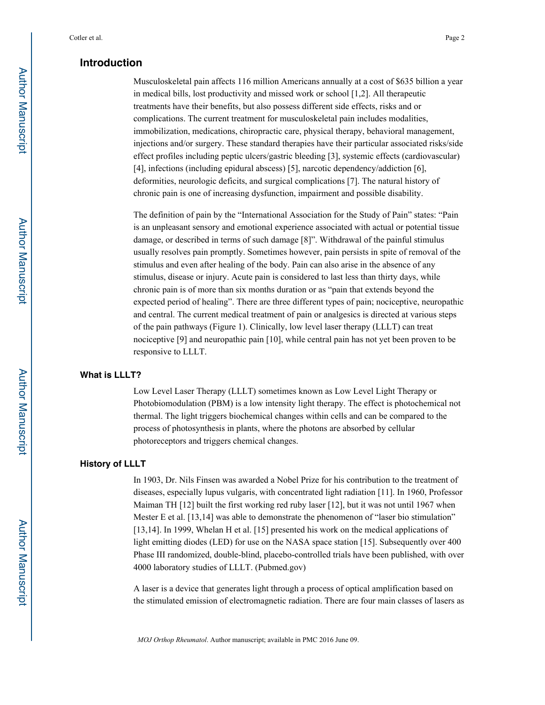# **Introduction**

Musculoskeletal pain affects 116 million Americans annually at a cost of \$635 billion a year in medical bills, lost productivity and missed work or school [1,2]. All therapeutic treatments have their benefits, but also possess different side effects, risks and or complications. The current treatment for musculoskeletal pain includes modalities, immobilization, medications, chiropractic care, physical therapy, behavioral management, injections and/or surgery. These standard therapies have their particular associated risks/side effect profiles including peptic ulcers/gastric bleeding [3], systemic effects (cardiovascular) [4], infections (including epidural abscess) [5], narcotic dependency/addiction [6], deformities, neurologic deficits, and surgical complications [7]. The natural history of chronic pain is one of increasing dysfunction, impairment and possible disability.

The definition of pain by the "International Association for the Study of Pain" states: "Pain is an unpleasant sensory and emotional experience associated with actual or potential tissue damage, or described in terms of such damage [8]". Withdrawal of the painful stimulus usually resolves pain promptly. Sometimes however, pain persists in spite of removal of the stimulus and even after healing of the body. Pain can also arise in the absence of any stimulus, disease or injury. Acute pain is considered to last less than thirty days, while chronic pain is of more than six months duration or as "pain that extends beyond the expected period of healing". There are three different types of pain; nociceptive, neuropathic and central. The current medical treatment of pain or analgesics is directed at various steps of the pain pathways (Figure 1). Clinically, low level laser therapy (LLLT) can treat nociceptive [9] and neuropathic pain [10], while central pain has not yet been proven to be responsive to LLLT.

### **What is LLLT?**

Low Level Laser Therapy (LLLT) sometimes known as Low Level Light Therapy or Photobiomodulation (PBM) is a low intensity light therapy. The effect is photochemical not thermal. The light triggers biochemical changes within cells and can be compared to the process of photosynthesis in plants, where the photons are absorbed by cellular photoreceptors and triggers chemical changes.

#### **History of LLLT**

In 1903, Dr. Nils Finsen was awarded a Nobel Prize for his contribution to the treatment of diseases, especially lupus vulgaris, with concentrated light radiation [11]. In 1960, Professor Maiman TH [12] built the first working red ruby laser [12], but it was not until 1967 when Mester E et al. [13,14] was able to demonstrate the phenomenon of "laser bio stimulation" [13,14]. In 1999, Whelan H et al. [15] presented his work on the medical applications of light emitting diodes (LED) for use on the NASA space station [15]. Subsequently over 400 Phase III randomized, double-blind, placebo-controlled trials have been published, with over 4000 laboratory studies of LLLT. (Pubmed.gov)

A laser is a device that generates light through a process of optical amplification based on the stimulated emission of electromagnetic radiation. There are four main classes of lasers as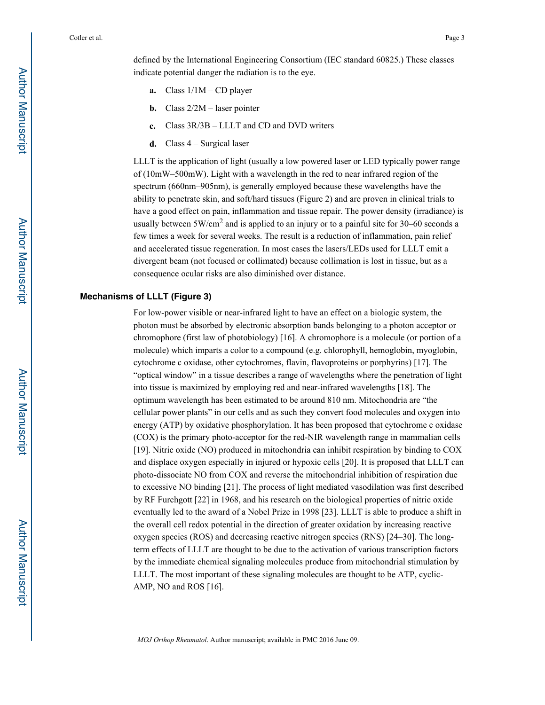defined by the International Engineering Consortium (IEC standard 60825.) These classes indicate potential danger the radiation is to the eye.

- **a.** Class 1/1M CD player
- **b.** Class 2/2M laser pointer
- **c.** Class 3R/3B LLLT and CD and DVD writers
- **d.** Class 4 Surgical laser

LLLT is the application of light (usually a low powered laser or LED typically power range of (10mW–500mW). Light with a wavelength in the red to near infrared region of the spectrum (660nm–905nm), is generally employed because these wavelengths have the ability to penetrate skin, and soft/hard tissues (Figure 2) and are proven in clinical trials to have a good effect on pain, inflammation and tissue repair. The power density (irradiance) is usually between  $5W/cm<sup>2</sup>$  and is applied to an injury or to a painful site for 30–60 seconds a few times a week for several weeks. The result is a reduction of inflammation, pain relief and accelerated tissue regeneration. In most cases the lasers/LEDs used for LLLT emit a divergent beam (not focused or collimated) because collimation is lost in tissue, but as a consequence ocular risks are also diminished over distance.

#### **Mechanisms of LLLT (Figure 3)**

For low-power visible or near-infrared light to have an effect on a biologic system, the photon must be absorbed by electronic absorption bands belonging to a photon acceptor or chromophore (first law of photobiology) [16]. A chromophore is a molecule (or portion of a molecule) which imparts a color to a compound (e.g. chlorophyll, hemoglobin, myoglobin, cytochrome c oxidase, other cytochromes, flavin, flavoproteins or porphyrins) [17]. The "optical window" in a tissue describes a range of wavelengths where the penetration of light into tissue is maximized by employing red and near-infrared wavelengths [18]. The optimum wavelength has been estimated to be around 810 nm. Mitochondria are "the cellular power plants" in our cells and as such they convert food molecules and oxygen into energy (ATP) by oxidative phosphorylation. It has been proposed that cytochrome c oxidase (COX) is the primary photo-acceptor for the red-NIR wavelength range in mammalian cells [19]. Nitric oxide (NO) produced in mitochondria can inhibit respiration by binding to COX and displace oxygen especially in injured or hypoxic cells [20]. It is proposed that LLLT can photo-dissociate NO from COX and reverse the mitochondrial inhibition of respiration due to excessive NO binding [21]. The process of light mediated vasodilation was first described by RF Furchgott [22] in 1968, and his research on the biological properties of nitric oxide eventually led to the award of a Nobel Prize in 1998 [23]. LLLT is able to produce a shift in the overall cell redox potential in the direction of greater oxidation by increasing reactive oxygen species (ROS) and decreasing reactive nitrogen species (RNS) [24–30]. The longterm effects of LLLT are thought to be due to the activation of various transcription factors by the immediate chemical signaling molecules produce from mitochondrial stimulation by LLLT. The most important of these signaling molecules are thought to be ATP, cyclic-AMP, NO and ROS [16].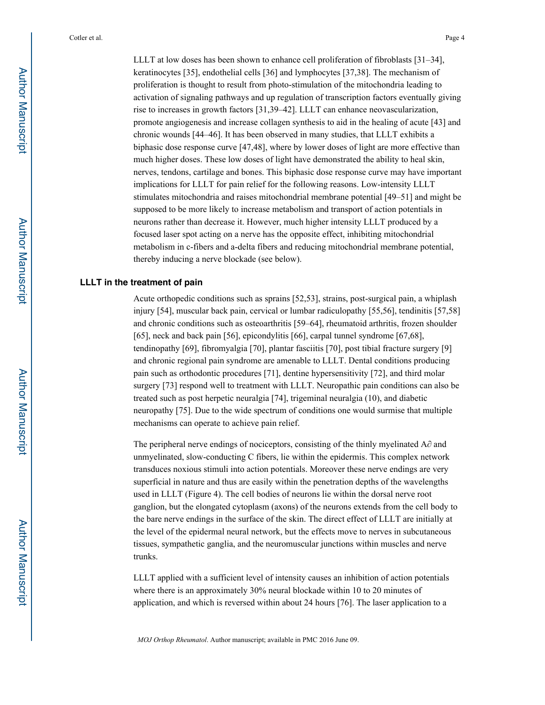LLLT at low doses has been shown to enhance cell proliferation of fibroblasts [31–34], keratinocytes [35], endothelial cells [36] and lymphocytes [37,38]. The mechanism of proliferation is thought to result from photo-stimulation of the mitochondria leading to activation of signaling pathways and up regulation of transcription factors eventually giving rise to increases in growth factors [31,39–42]. LLLT can enhance neovascularization, promote angiogenesis and increase collagen synthesis to aid in the healing of acute [43] and chronic wounds [44–46]. It has been observed in many studies, that LLLT exhibits a biphasic dose response curve [47,48], where by lower doses of light are more effective than much higher doses. These low doses of light have demonstrated the ability to heal skin, nerves, tendons, cartilage and bones. This biphasic dose response curve may have important implications for LLLT for pain relief for the following reasons. Low-intensity LLLT stimulates mitochondria and raises mitochondrial membrane potential [49–51] and might be supposed to be more likely to increase metabolism and transport of action potentials in neurons rather than decrease it. However, much higher intensity LLLT produced by a focused laser spot acting on a nerve has the opposite effect, inhibiting mitochondrial metabolism in c-fibers and a-delta fibers and reducing mitochondrial membrane potential, thereby inducing a nerve blockade (see below).

#### **LLLT in the treatment of pain**

Acute orthopedic conditions such as sprains [52,53], strains, post-surgical pain, a whiplash injury [54], muscular back pain, cervical or lumbar radiculopathy [55,56], tendinitis [57,58] and chronic conditions such as osteoarthritis [59–64], rheumatoid arthritis, frozen shoulder [65], neck and back pain [56], epicondylitis [66], carpal tunnel syndrome [67,68], tendinopathy [69], fibromyalgia [70], plantar fasciitis [70], post tibial fracture surgery [9] and chronic regional pain syndrome are amenable to LLLT. Dental conditions producing pain such as orthodontic procedures [71], dentine hypersensitivity [72], and third molar surgery [73] respond well to treatment with LLLT. Neuropathic pain conditions can also be treated such as post herpetic neuralgia [74], trigeminal neuralgia (10), and diabetic neuropathy [75]. Due to the wide spectrum of conditions one would surmise that multiple mechanisms can operate to achieve pain relief.

The peripheral nerve endings of nociceptors, consisting of the thinly myelinated A $\partial$  and unmyelinated, slow-conducting C fibers, lie within the epidermis. This complex network transduces noxious stimuli into action potentials. Moreover these nerve endings are very superficial in nature and thus are easily within the penetration depths of the wavelengths used in LLLT (Figure 4). The cell bodies of neurons lie within the dorsal nerve root ganglion, but the elongated cytoplasm (axons) of the neurons extends from the cell body to the bare nerve endings in the surface of the skin. The direct effect of LLLT are initially at the level of the epidermal neural network, but the effects move to nerves in subcutaneous tissues, sympathetic ganglia, and the neuromuscular junctions within muscles and nerve trunks.

LLLT applied with a sufficient level of intensity causes an inhibition of action potentials where there is an approximately 30% neural blockade within 10 to 20 minutes of application, and which is reversed within about 24 hours [76]. The laser application to a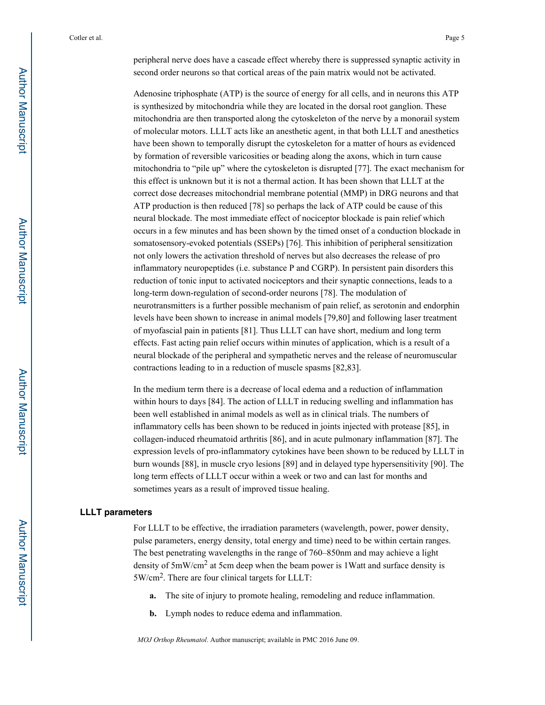peripheral nerve does have a cascade effect whereby there is suppressed synaptic activity in second order neurons so that cortical areas of the pain matrix would not be activated.

Adenosine triphosphate (ATP) is the source of energy for all cells, and in neurons this ATP is synthesized by mitochondria while they are located in the dorsal root ganglion. These mitochondria are then transported along the cytoskeleton of the nerve by a monorail system of molecular motors. LLLT acts like an anesthetic agent, in that both LLLT and anesthetics have been shown to temporally disrupt the cytoskeleton for a matter of hours as evidenced by formation of reversible varicosities or beading along the axons, which in turn cause mitochondria to "pile up" where the cytoskeleton is disrupted [77]. The exact mechanism for this effect is unknown but it is not a thermal action. It has been shown that LLLT at the correct dose decreases mitochondrial membrane potential (MMP) in DRG neurons and that ATP production is then reduced [78] so perhaps the lack of ATP could be cause of this neural blockade. The most immediate effect of nociceptor blockade is pain relief which occurs in a few minutes and has been shown by the timed onset of a conduction blockade in somatosensory-evoked potentials (SSEPs) [76]. This inhibition of peripheral sensitization not only lowers the activation threshold of nerves but also decreases the release of pro inflammatory neuropeptides (i.e. substance P and CGRP). In persistent pain disorders this reduction of tonic input to activated nociceptors and their synaptic connections, leads to a long-term down-regulation of second-order neurons [78]. The modulation of neurotransmitters is a further possible mechanism of pain relief, as serotonin and endorphin levels have been shown to increase in animal models [79,80] and following laser treatment of myofascial pain in patients [81]. Thus LLLT can have short, medium and long term effects. Fast acting pain relief occurs within minutes of application, which is a result of a neural blockade of the peripheral and sympathetic nerves and the release of neuromuscular contractions leading to in a reduction of muscle spasms [82,83].

In the medium term there is a decrease of local edema and a reduction of inflammation within hours to days [84]. The action of LLLT in reducing swelling and inflammation has been well established in animal models as well as in clinical trials. The numbers of inflammatory cells has been shown to be reduced in joints injected with protease [85], in collagen-induced rheumatoid arthritis [86], and in acute pulmonary inflammation [87]. The expression levels of pro-inflammatory cytokines have been shown to be reduced by LLLT in burn wounds [88], in muscle cryo lesions [89] and in delayed type hypersensitivity [90]. The long term effects of LLLT occur within a week or two and can last for months and sometimes years as a result of improved tissue healing.

#### **LLLT parameters**

For LLLT to be effective, the irradiation parameters (wavelength, power, power density, pulse parameters, energy density, total energy and time) need to be within certain ranges. The best penetrating wavelengths in the range of 760–850nm and may achieve a light density of 5mW/cm2 at 5cm deep when the beam power is 1Watt and surface density is 5W/cm2. There are four clinical targets for LLLT:

- **a.** The site of injury to promote healing, remodeling and reduce inflammation.
- **b.** Lymph nodes to reduce edema and inflammation.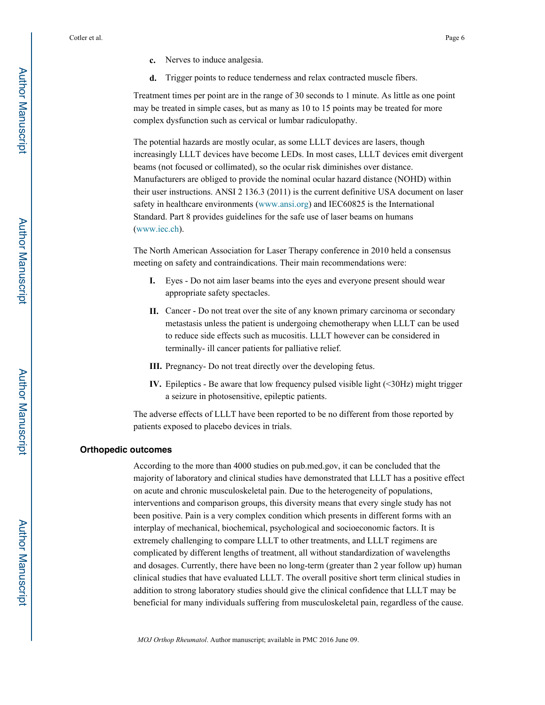- **c.** Nerves to induce analgesia.
- **d.** Trigger points to reduce tenderness and relax contracted muscle fibers.

Treatment times per point are in the range of 30 seconds to 1 minute. As little as one point may be treated in simple cases, but as many as 10 to 15 points may be treated for more complex dysfunction such as cervical or lumbar radiculopathy.

The potential hazards are mostly ocular, as some LLLT devices are lasers, though increasingly LLLT devices have become LEDs. In most cases, LLLT devices emit divergent beams (not focused or collimated), so the ocular risk diminishes over distance. Manufacturers are obliged to provide the nominal ocular hazard distance (NOHD) within their user instructions. ANSI 2 136.3 (2011) is the current definitive USA document on laser safety in healthcare environments (www.ansi.org) and IEC60825 is the International Standard. Part 8 provides guidelines for the safe use of laser beams on humans (www.iec.ch).

The North American Association for Laser Therapy conference in 2010 held a consensus meeting on safety and contraindications. Their main recommendations were:

- **I.** Eyes Do not aim laser beams into the eyes and everyone present should wear appropriate safety spectacles.
- **II.** Cancer Do not treat over the site of any known primary carcinoma or secondary metastasis unless the patient is undergoing chemotherapy when LLLT can be used to reduce side effects such as mucositis. LLLT however can be considered in terminally- ill cancer patients for palliative relief.
- **III.** Pregnancy- Do not treat directly over the developing fetus.
- **IV.** Epileptics Be aware that low frequency pulsed visible light (<30Hz) might trigger a seizure in photosensitive, epileptic patients.

The adverse effects of LLLT have been reported to be no different from those reported by patients exposed to placebo devices in trials.

#### **Orthopedic outcomes**

According to the more than 4000 studies on pub.med.gov, it can be concluded that the majority of laboratory and clinical studies have demonstrated that LLLT has a positive effect on acute and chronic musculoskeletal pain. Due to the heterogeneity of populations, interventions and comparison groups, this diversity means that every single study has not been positive. Pain is a very complex condition which presents in different forms with an interplay of mechanical, biochemical, psychological and socioeconomic factors. It is extremely challenging to compare LLLT to other treatments, and LLLT regimens are complicated by different lengths of treatment, all without standardization of wavelengths and dosages. Currently, there have been no long-term (greater than 2 year follow up) human clinical studies that have evaluated LLLT. The overall positive short term clinical studies in addition to strong laboratory studies should give the clinical confidence that LLLT may be beneficial for many individuals suffering from musculoskeletal pain, regardless of the cause.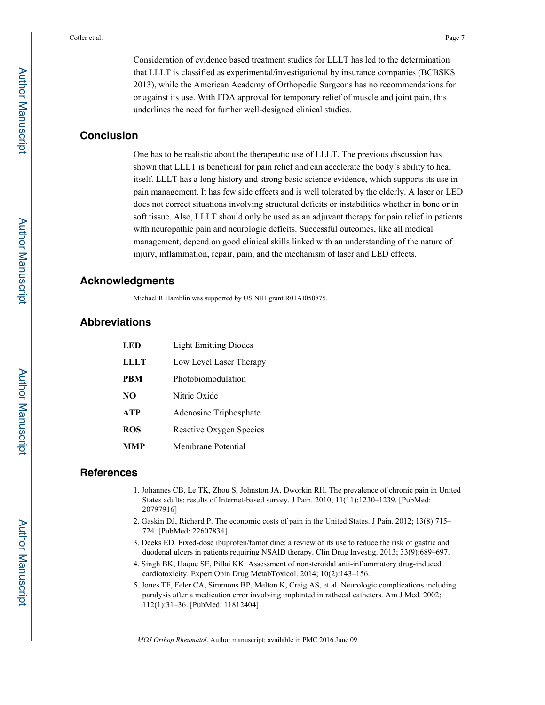Consideration of evidence based treatment studies for LLLT has led to the determination that LLLT is classified as experimental/investigational by insurance companies (BCBSKS 2013), while the American Academy of Orthopedic Surgeons has no recommendations for or against its use. With FDA approval for temporary relief of muscle and joint pain, this underlines the need for further well-designed clinical studies.

# **Conclusion**

One has to be realistic about the therapeutic use of LLLT. The previous discussion has shown that LLLT is beneficial for pain relief and can accelerate the body's ability to heal itself. LLLT has a long history and strong basic science evidence, which supports its use in pain management. It has few side effects and is well tolerated by the elderly. A laser or LED does not correct situations involving structural deficits or instabilities whether in bone or in soft tissue. Also, LLLT should only be used as an adjuvant therapy for pain relief in patients with neuropathic pain and neurologic deficits. Successful outcomes, like all medical management, depend on good clinical skills linked with an understanding of the nature of injury, inflammation, repair, pain, and the mechanism of laser and LED effects.

# **Acknowledgments**

Michael R Hamblin was supported by US NIH grant R01AI050875.

# **Abbreviations**

| L E D      | <b>Light Emitting Diodes</b> |
|------------|------------------------------|
| LLLT       | Low Level Laser Therapy      |
| <b>PRM</b> | Photobiomodulation           |
| NO         | Nitric Oxide                 |
| <b>ATP</b> | Adenosine Triphosphate       |
| <b>ROS</b> | Reactive Oxygen Species      |
| ммр        | Membrane Potential           |

# **References**

- 1. Johannes CB, Le TK, Zhou S, Johnston JA, Dworkin RH. The prevalence of chronic pain in United States adults: results of Internet-based survey. J Pain. 2010; 11(11):1230–1239. [PubMed: 20797916]
- 2. Gaskin DJ, Richard P. The economic costs of pain in the United States. J Pain. 2012; 13(8):715– 724. [PubMed: 22607834]
- 3. Deeks ED. Fixed-dose ibuprofen/famotidine: a review of its use to reduce the risk of gastric and duodenal ulcers in patients requiring NSAID therapy. Clin Drug Investig. 2013; 33(9):689–697.
- 4. Singh BK, Haque SE, Pillai KK. Assessment of nonsteroidal anti-inflammatory drug-induced cardiotoxicity. Expert Opin Drug MetabToxicol. 2014; 10(2):143–156.
- 5. Jones TF, Feler CA, Simmons BP, Melton K, Craig AS, et al. Neurologic complications including paralysis after a medication error involving implanted intrathecal catheters. Am J Med. 2002; 112(1):31–36. [PubMed: 11812404]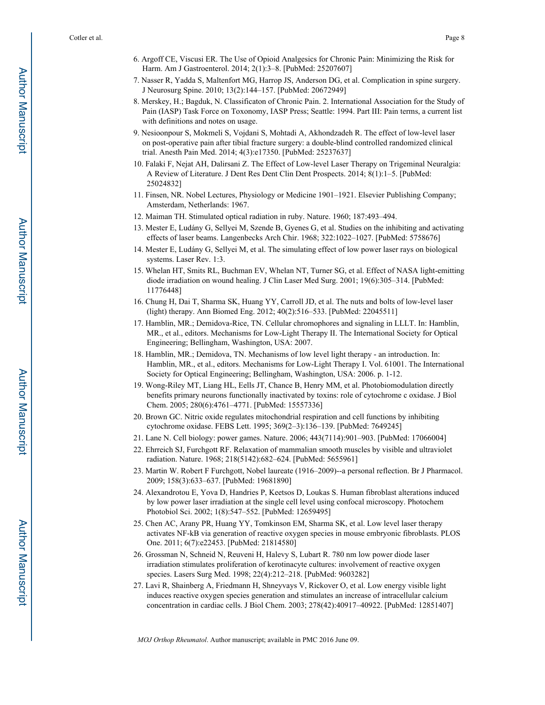- 6. Argoff CE, Viscusi ER. The Use of Opioid Analgesics for Chronic Pain: Minimizing the Risk for Harm. Am J Gastroenterol. 2014; 2(1):3–8. [PubMed: 25207607]
- 7. Nasser R, Yadda S, Maltenfort MG, Harrop JS, Anderson DG, et al. Complication in spine surgery. J Neurosurg Spine. 2010; 13(2):144–157. [PubMed: 20672949]
- 8. Merskey, H.; Bagduk, N. Classificaton of Chronic Pain. 2. International Association for the Study of Pain (IASP) Task Force on Toxonomy, IASP Press; Seattle: 1994. Part III: Pain terms, a current list with definitions and notes on usage.
- 9. Nesioonpour S, Mokmeli S, Vojdani S, Mohtadi A, Akhondzadeh R. The effect of low-level laser on post-operative pain after tibial fracture surgery: a double-blind controlled randomized clinical trial. Anesth Pain Med. 2014; 4(3):e17350. [PubMed: 25237637]
- 10. Falaki F, Nejat AH, Dalirsani Z. The Effect of Low-level Laser Therapy on Trigeminal Neuralgia: A Review of Literature. J Dent Res Dent Clin Dent Prospects. 2014; 8(1):1–5. [PubMed: 25024832]
- 11. Finsen, NR. Nobel Lectures, Physiology or Medicine 1901–1921. Elsevier Publishing Company; Amsterdam, Netherlands: 1967.
- 12. Maiman TH. Stimulated optical radiation in ruby. Nature. 1960; 187:493–494.
- 13. Mester E, Ludány G, Sellyei M, Szende B, Gyenes G, et al. Studies on the inhibiting and activating effects of laser beams. Langenbecks Arch Chir. 1968; 322:1022–1027. [PubMed: 5758676]
- 14. Mester E, Ludány G, Sellyei M, et al. The simulating effect of low power laser rays on biological systems. Laser Rev. 1:3.
- 15. Whelan HT, Smits RL, Buchman EV, Whelan NT, Turner SG, et al. Effect of NASA light-emitting diode irradiation on wound healing. J Clin Laser Med Surg. 2001; 19(6):305–314. [PubMed: 11776448]
- 16. Chung H, Dai T, Sharma SK, Huang YY, Carroll JD, et al. The nuts and bolts of low-level laser (light) therapy. Ann Biomed Eng. 2012; 40(2):516–533. [PubMed: 22045511]
- 17. Hamblin, MR.; Demidova-Rice, TN. Cellular chromophores and signaling in LLLT. In: Hamblin, MR., et al., editors. Mechanisms for Low-Light Therapy II. The International Society for Optical Engineering; Bellingham, Washington, USA: 2007.
- 18. Hamblin, MR.; Demidova, TN. Mechanisms of low level light therapy an introduction. In: Hamblin, MR., et al., editors. Mechanisms for Low-Light Therapy I. Vol. 61001. The International Society for Optical Engineering; Bellingham, Washington, USA: 2006. p. 1-12.
- 19. Wong-Riley MT, Liang HL, Eells JT, Chance B, Henry MM, et al. Photobiomodulation directly benefits primary neurons functionally inactivated by toxins: role of cytochrome c oxidase. J Biol Chem. 2005; 280(6):4761–4771. [PubMed: 15557336]
- 20. Brown GC. Nitric oxide regulates mitochondrial respiration and cell functions by inhibiting cytochrome oxidase. FEBS Lett. 1995; 369(2–3):136–139. [PubMed: 7649245]
- 21. Lane N. Cell biology: power games. Nature. 2006; 443(7114):901–903. [PubMed: 17066004]
- 22. Ehrreich SJ, Furchgott RF. Relaxation of mammalian smooth muscles by visible and ultraviolet radiation. Nature. 1968; 218(5142):682–624. [PubMed: 5655961]
- 23. Martin W. Robert F Furchgott, Nobel laureate (1916–2009)--a personal reflection. Br J Pharmacol. 2009; 158(3):633–637. [PubMed: 19681890]
- 24. Alexandrotou E, Yova D, Handries P, Keetsos D, Loukas S. Human fibroblast alterations induced by low power laser irradiation at the single cell level using confocal microscopy. Photochem Photobiol Sci. 2002; 1(8):547–552. [PubMed: 12659495]
- 25. Chen AC, Arany PR, Huang YY, Tomkinson EM, Sharma SK, et al. Low level laser therapy activates NF-kB via generation of reactive oxygen species in mouse embryonic fibroblasts. PLOS One. 2011; 6(7):e22453. [PubMed: 21814580]
- 26. Grossman N, Schneid N, Reuveni H, Halevy S, Lubart R. 780 nm low power diode laser irradiation stimulates proliferation of kerotinacyte cultures: involvement of reactive oxygen species. Lasers Surg Med. 1998; 22(4):212–218. [PubMed: 9603282]
- 27. Lavi R, Shainberg A, Friedmann H, Shneyvays V, Rickover O, et al. Low energy visible light induces reactive oxygen species generation and stimulates an increase of intracellular calcium concentration in cardiac cells. J Biol Chem. 2003; 278(42):40917–40922. [PubMed: 12851407]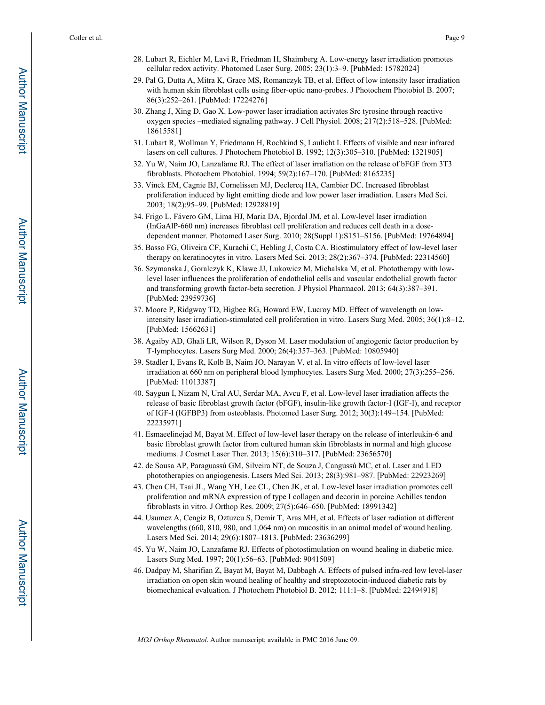- 28. Lubart R, Eichler M, Lavi R, Friedman H, Shaimberg A. Low-energy laser irradiation promotes cellular redox activity. Photomed Laser Surg. 2005; 23(1):3–9. [PubMed: 15782024]
- 29. Pal G, Dutta A, Mitra K, Grace MS, Romanczyk TB, et al. Effect of low intensity laser irradiation with human skin fibroblast cells using fiber-optic nano-probes. J Photochem Photobiol B. 2007; 86(3):252–261. [PubMed: 17224276]
- 30. Zhang J, Xing D, Gao X. Low-power laser irradiation activates Src tyrosine through reactive oxygen species –mediated signaling pathway. J Cell Physiol. 2008; 217(2):518–528. [PubMed: 18615581]
- 31. Lubart R, Wollman Y, Friedmann H, Rochkind S, Laulicht I. Effects of visible and near infrared lasers on cell cultures. J Photochem Photobiol B. 1992; 12(3):305–310. [PubMed: 1321905]
- 32. Yu W, Naim JO, Lanzafame RJ. The effect of laser irrafiation on the release of bFGF from 3T3 fibroblasts. Photochem Photobiol. 1994; 59(2):167–170. [PubMed: 8165235]
- 33. Vinck EM, Cagnie BJ, Cornelissen MJ, Declercq HA, Cambier DC. Increased fibroblast proliferation induced by light emitting diode and low power laser irradiation. Lasers Med Sci. 2003; 18(2):95–99. [PubMed: 12928819]
- 34. Frigo L, Fávero GM, Lima HJ, Maria DA, Bjordal JM, et al. Low-level laser irradiation (InGaAlP-660 nm) increases fibroblast cell proliferation and reduces cell death in a dosedependent manner. Photomed Laser Surg. 2010; 28(Suppl 1):S151–S156. [PubMed: 19764894]
- 35. Basso FG, Oliveira CF, Kurachi C, Hebling J, Costa CA. Biostimulatory effect of low-level laser therapy on keratinocytes in vitro. Lasers Med Sci. 2013; 28(2):367–374. [PubMed: 22314560]
- 36. Szymanska J, Goralczyk K, Klawe JJ, Lukowicz M, Michalska M, et al. Phototherapy with lowlevel laser influences the proliferation of endothelial cells and vascular endothelial growth factor and transforming growth factor-beta secretion. J Physiol Pharmacol. 2013; 64(3):387–391. [PubMed: 23959736]
- 37. Moore P, Ridgway TD, Higbee RG, Howard EW, Lucroy MD. Effect of wavelength on lowintensity laser irradiation-stimulated cell proliferation in vitro. Lasers Surg Med. 2005; 36(1):8–12. [PubMed: 15662631]
- 38. Agaiby AD, Ghali LR, Wilson R, Dyson M. Laser modulation of angiogenic factor production by T-lymphocytes. Lasers Surg Med. 2000; 26(4):357–363. [PubMed: 10805940]
- 39. Stadler I, Evans R, Kolb B, Naim JO, Narayan V, et al. In vitro effects of low-level laser irradiation at 660 nm on peripheral blood lymphocytes. Lasers Surg Med. 2000; 27(3):255–256. [PubMed: 11013387]
- 40. Saygun I, Nizam N, Ural AU, Serdar MA, Avcu F, et al. Low-level laser irradiation affects the release of basic fibroblast growth factor (bFGF), insulin-like growth factor-I (IGF-I), and receptor of IGF-I (IGFBP3) from osteoblasts. Photomed Laser Surg. 2012; 30(3):149–154. [PubMed: 22235971]
- 41. Esmaeelinejad M, Bayat M. Effect of low-level laser therapy on the release of interleukin-6 and basic fibroblast growth factor from cultured human skin fibroblasts in normal and high glucose mediums. J Cosmet Laser Ther. 2013; 15(6):310–317. [PubMed: 23656570]
- 42. de Sousa AP, Paraguassú GM, Silveira NT, de Souza J, Cangussú MC, et al. Laser and LED phototherapies on angiogenesis. Lasers Med Sci. 2013; 28(3):981–987. [PubMed: 22923269]
- 43. Chen CH, Tsai JL, Wang YH, Lee CL, Chen JK, et al. Low-level laser irradiation promotes cell proliferation and mRNA expression of type I collagen and decorin in porcine Achilles tendon fibroblasts in vitro. J Orthop Res. 2009; 27(5):646–650. [PubMed: 18991342]
- 44. Usumez A, Cengiz B, Oztuzcu S, Demir T, Aras MH, et al. Effects of laser radiation at different wavelengths (660, 810, 980, and 1,064 nm) on mucositis in an animal model of wound healing. Lasers Med Sci. 2014; 29(6):1807–1813. [PubMed: 23636299]
- 45. Yu W, Naim JO, Lanzafame RJ. Effects of photostimulation on wound healing in diabetic mice. Lasers Surg Med. 1997; 20(1):56–63. [PubMed: 9041509]
- 46. Dadpay M, Sharifian Z, Bayat M, Bayat M, Dabbagh A. Effects of pulsed infra-red low level-laser irradiation on open skin wound healing of healthy and streptozotocin-induced diabetic rats by biomechanical evaluation. J Photochem Photobiol B. 2012; 111:1–8. [PubMed: 22494918]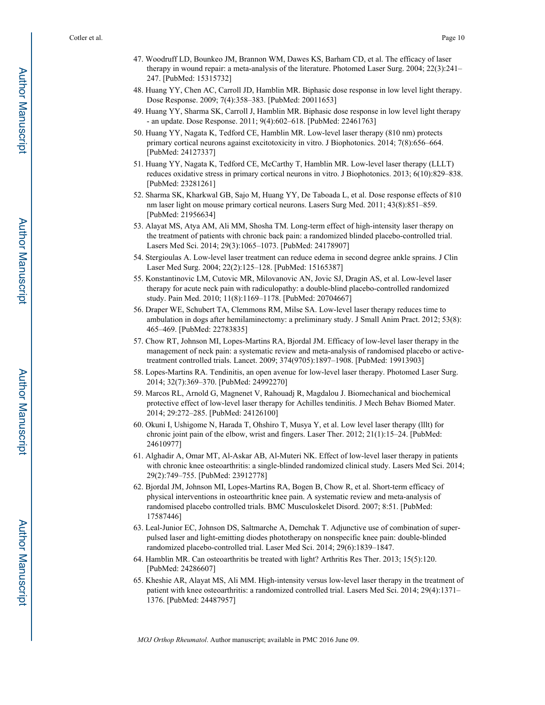- 47. Woodruff LD, Bounkeo JM, Brannon WM, Dawes KS, Barham CD, et al. The efficacy of laser therapy in wound repair: a meta-analysis of the literature. Photomed Laser Surg. 2004; 22(3):241– 247. [PubMed: 15315732]
- 48. Huang YY, Chen AC, Carroll JD, Hamblin MR. Biphasic dose response in low level light therapy. Dose Response. 2009; 7(4):358–383. [PubMed: 20011653]
- 49. Huang YY, Sharma SK, Carroll J, Hamblin MR. Biphasic dose response in low level light therapy - an update. Dose Response. 2011; 9(4):602–618. [PubMed: 22461763]
- 50. Huang YY, Nagata K, Tedford CE, Hamblin MR. Low-level laser therapy (810 nm) protects primary cortical neurons against excitotoxicity in vitro. J Biophotonics. 2014; 7(8):656–664. [PubMed: 24127337]
- 51. Huang YY, Nagata K, Tedford CE, McCarthy T, Hamblin MR. Low-level laser therapy (LLLT) reduces oxidative stress in primary cortical neurons in vitro. J Biophotonics. 2013; 6(10):829–838. [PubMed: 23281261]
- 52. Sharma SK, Kharkwal GB, Sajo M, Huang YY, De Taboada L, et al. Dose response effects of 810 nm laser light on mouse primary cortical neurons. Lasers Surg Med. 2011; 43(8):851–859. [PubMed: 21956634]
- 53. Alayat MS, Atya AM, Ali MM, Shosha TM. Long-term effect of high-intensity laser therapy on the treatment of patients with chronic back pain: a randomized blinded placebo-controlled trial. Lasers Med Sci. 2014; 29(3):1065–1073. [PubMed: 24178907]
- 54. Stergioulas A. Low-level laser treatment can reduce edema in second degree ankle sprains. J Clin Laser Med Surg. 2004; 22(2):125–128. [PubMed: 15165387]
- 55. Konstantinovic LM, Cutovic MR, Milovanovic AN, Jovic SJ, Dragin AS, et al. Low-level laser therapy for acute neck pain with radiculopathy: a double-blind placebo-controlled randomized study. Pain Med. 2010; 11(8):1169–1178. [PubMed: 20704667]
- 56. Draper WE, Schubert TA, Clemmons RM, Milse SA. Low-level laser therapy reduces time to ambulation in dogs after hemilaminectomy: a preliminary study. J Small Anim Pract. 2012; 53(8): 465–469. [PubMed: 22783835]
- 57. Chow RT, Johnson MI, Lopes-Martins RA, Bjordal JM. Efficacy of low-level laser therapy in the management of neck pain: a systematic review and meta-analysis of randomised placebo or activetreatment controlled trials. Lancet. 2009; 374(9705):1897–1908. [PubMed: 19913903]
- 58. Lopes-Martins RA. Tendinitis, an open avenue for low-level laser therapy. Photomed Laser Surg. 2014; 32(7):369–370. [PubMed: 24992270]
- 59. Marcos RL, Arnold G, Magnenet V, Rahouadj R, Magdalou J. Biomechanical and biochemical protective effect of low-level laser therapy for Achilles tendinitis. J Mech Behav Biomed Mater. 2014; 29:272–285. [PubMed: 24126100]
- 60. Okuni I, Ushigome N, Harada T, Ohshiro T, Musya Y, et al. Low level laser therapy (lllt) for chronic joint pain of the elbow, wrist and fingers. Laser Ther. 2012; 21(1):15–24. [PubMed: 24610977]
- 61. Alghadir A, Omar MT, Al-Askar AB, Al-Muteri NK. Effect of low-level laser therapy in patients with chronic knee osteoarthritis: a single-blinded randomized clinical study. Lasers Med Sci. 2014; 29(2):749–755. [PubMed: 23912778]
- 62. Bjordal JM, Johnson MI, Lopes-Martins RA, Bogen B, Chow R, et al. Short-term efficacy of physical interventions in osteoarthritic knee pain. A systematic review and meta-analysis of randomised placebo controlled trials. BMC Musculoskelet Disord. 2007; 8:51. [PubMed: 17587446]
- 63. Leal-Junior EC, Johnson DS, Saltmarche A, Demchak T. Adjunctive use of combination of superpulsed laser and light-emitting diodes phototherapy on nonspecific knee pain: double-blinded randomized placebo-controlled trial. Laser Med Sci. 2014; 29(6):1839–1847.
- 64. Hamblin MR. Can osteoarthritis be treated with light? Arthritis Res Ther. 2013; 15(5):120. [PubMed: 24286607]
- 65. Kheshie AR, Alayat MS, Ali MM. High-intensity versus low-level laser therapy in the treatment of patient with knee osteoarthritis: a randomized controlled trial. Lasers Med Sci. 2014; 29(4):1371– 1376. [PubMed: 24487957]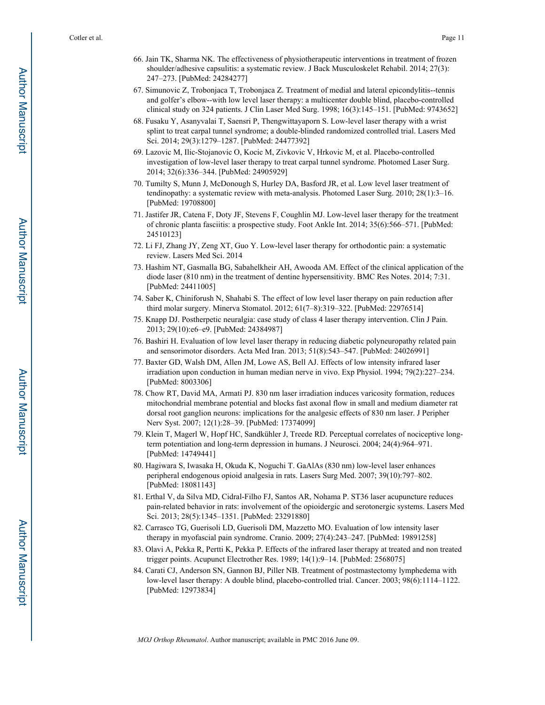- 66. Jain TK, Sharma NK. The effectiveness of physiotherapeutic interventions in treatment of frozen shoulder/adhesive capsulitis: a systematic review. J Back Musculoskelet Rehabil. 2014; 27(3): 247–273. [PubMed: 24284277]
- 67. Simunovic Z, Trobonjaca T, Trobonjaca Z. Treatment of medial and lateral epicondylitis--tennis and golfer's elbow--with low level laser therapy: a multicenter double blind, placebo-controlled clinical study on 324 patients. J Clin Laser Med Surg. 1998; 16(3):145–151. [PubMed: 9743652]
- 68. Fusaku Y, Asanyvalai T, Saensri P, Thengwittayaporn S. Low-level laser therapy with a wrist splint to treat carpal tunnel syndrome; a double-blinded randomized controlled trial. Lasers Med Sci. 2014; 29(3):1279–1287. [PubMed: 24477392]
- 69. Lazovic M, Ilic-Stojanovic O, Kocic M, Zivkovic V, Hrkovic M, et al. Placebo-controlled investigation of low-level laser therapy to treat carpal tunnel syndrome. Photomed Laser Surg. 2014; 32(6):336–344. [PubMed: 24905929]
- 70. Tumilty S, Munn J, McDonough S, Hurley DA, Basford JR, et al. Low level laser treatment of tendinopathy: a systematic review with meta-analysis. Photomed Laser Surg. 2010; 28(1):3–16. [PubMed: 19708800]
- 71. Jastifer JR, Catena F, Doty JF, Stevens F, Coughlin MJ. Low-level laser therapy for the treatment of chronic planta fasciitis: a prospective study. Foot Ankle Int. 2014; 35(6):566–571. [PubMed: 24510123]
- 72. Li FJ, Zhang JY, Zeng XT, Guo Y. Low-level laser therapy for orthodontic pain: a systematic review. Lasers Med Sci. 2014
- 73. Hashim NT, Gasmalla BG, Sabahelkheir AH, Awooda AM. Effect of the clinical application of the diode laser (810 nm) in the treatment of dentine hypersensitivity. BMC Res Notes. 2014; 7:31. [PubMed: 24411005]
- 74. Saber K, Chiniforush N, Shahabi S. The effect of low level laser therapy on pain reduction after third molar surgery. Minerva Stomatol. 2012; 61(7–8):319–322. [PubMed: 22976514]
- 75. Knapp DJ. Postherpetic neuralgia: case study of class 4 laser therapy intervention. Clin J Pain. 2013; 29(10):e6–e9. [PubMed: 24384987]
- 76. Bashiri H. Evaluation of low level laser therapy in reducing diabetic polyneuropathy related pain and sensorimotor disorders. Acta Med Iran. 2013; 51(8):543–547. [PubMed: 24026991]
- 77. Baxter GD, Walsh DM, Allen JM, Lowe AS, Bell AJ. Effects of low intensity infrared laser irradiation upon conduction in human median nerve in vivo. Exp Physiol. 1994; 79(2):227–234. [PubMed: 8003306]
- 78. Chow RT, David MA, Armati PJ. 830 nm laser irradiation induces varicosity formation, reduces mitochondrial membrane potential and blocks fast axonal flow in small and medium diameter rat dorsal root ganglion neurons: implications for the analgesic effects of 830 nm laser. J Peripher Nerv Syst. 2007; 12(1):28–39. [PubMed: 17374099]
- 79. Klein T, Magerl W, Hopf HC, Sandkühler J, Treede RD. Perceptual correlates of nociceptive longterm potentiation and long-term depression in humans. J Neurosci. 2004; 24(4):964–971. [PubMed: 14749441]
- 80. Hagiwara S, Iwasaka H, Okuda K, Noguchi T. GaAlAs (830 nm) low-level laser enhances peripheral endogenous opioid analgesia in rats. Lasers Surg Med. 2007; 39(10):797–802. [PubMed: 18081143]
- 81. Erthal V, da Silva MD, Cidral-Filho FJ, Santos AR, Nohama P. ST36 laser acupuncture reduces pain-related behavior in rats: involvement of the opioidergic and serotonergic systems. Lasers Med Sci. 2013; 28(5):1345–1351. [PubMed: 23291880]
- 82. Carrasco TG, Guerisoli LD, Guerisoli DM, Mazzetto MO. Evaluation of low intensity laser therapy in myofascial pain syndrome. Cranio. 2009; 27(4):243–247. [PubMed: 19891258]
- 83. Olavi A, Pekka R, Pertti K, Pekka P. Effects of the infrared laser therapy at treated and non treated trigger points. Acupunct Electrother Res. 1989; 14(1):9–14. [PubMed: 2568075]
- 84. Carati CJ, Anderson SN, Gannon BJ, Piller NB. Treatment of postmastectomy lymphedema with low-level laser therapy: A double blind, placebo-controlled trial. Cancer. 2003; 98(6):1114–1122. [PubMed: 12973834]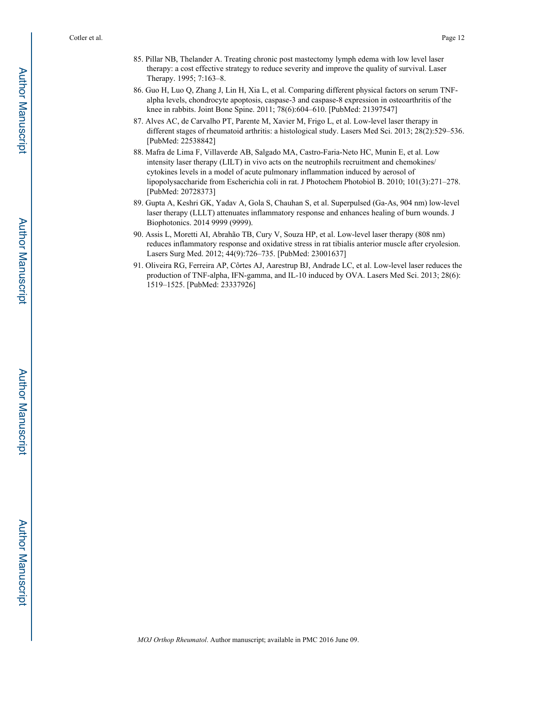- 85. Pillar NB, Thelander A. Treating chronic post mastectomy lymph edema with low level laser therapy: a cost effective strategy to reduce severity and improve the quality of survival. Laser Therapy. 1995; 7:163–8.
- 86. Guo H, Luo Q, Zhang J, Lin H, Xia L, et al. Comparing different physical factors on serum TNFalpha levels, chondrocyte apoptosis, caspase-3 and caspase-8 expression in osteoarthritis of the knee in rabbits. Joint Bone Spine. 2011; 78(6):604–610. [PubMed: 21397547]
- 87. Alves AC, de Carvalho PT, Parente M, Xavier M, Frigo L, et al. Low-level laser therapy in different stages of rheumatoid arthritis: a histological study. Lasers Med Sci. 2013; 28(2):529–536. [PubMed: 22538842]
- 88. Mafra de Lima F, Villaverde AB, Salgado MA, Castro-Faria-Neto HC, Munin E, et al. Low intensity laser therapy (LILT) in vivo acts on the neutrophils recruitment and chemokines/ cytokines levels in a model of acute pulmonary inflammation induced by aerosol of lipopolysaccharide from Escherichia coli in rat. J Photochem Photobiol B. 2010; 101(3):271–278. [PubMed: 20728373]
- 89. Gupta A, Keshri GK, Yadav A, Gola S, Chauhan S, et al. Superpulsed (Ga-As, 904 nm) low-level laser therapy (LLLT) attenuates inflammatory response and enhances healing of burn wounds. J Biophotonics. 2014 9999 (9999).
- 90. Assis L, Moretti AI, Abrahão TB, Cury V, Souza HP, et al. Low-level laser therapy (808 nm) reduces inflammatory response and oxidative stress in rat tibialis anterior muscle after cryolesion. Lasers Surg Med. 2012; 44(9):726–735. [PubMed: 23001637]
- 91. Oliveira RG, Ferreira AP, Côrtes AJ, Aarestrup BJ, Andrade LC, et al. Low-level laser reduces the production of TNF-alpha, IFN-gamma, and IL-10 induced by OVA. Lasers Med Sci. 2013; 28(6): 1519–1525. [PubMed: 23337926]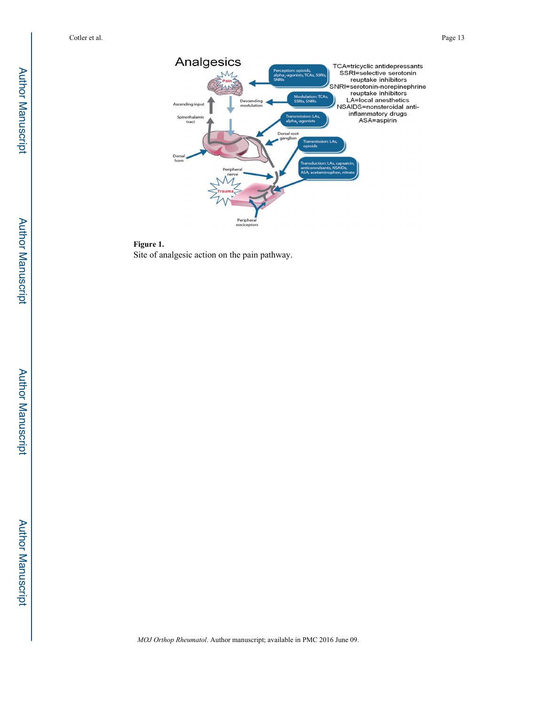

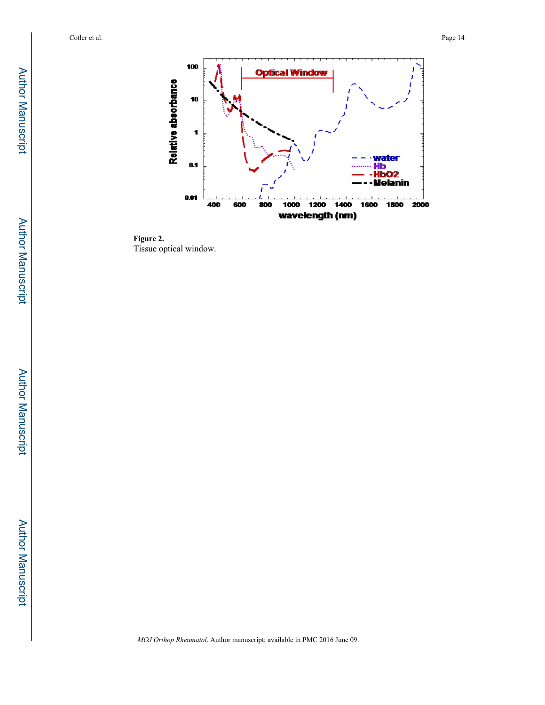

**Figure 2.**  Tissue optical window.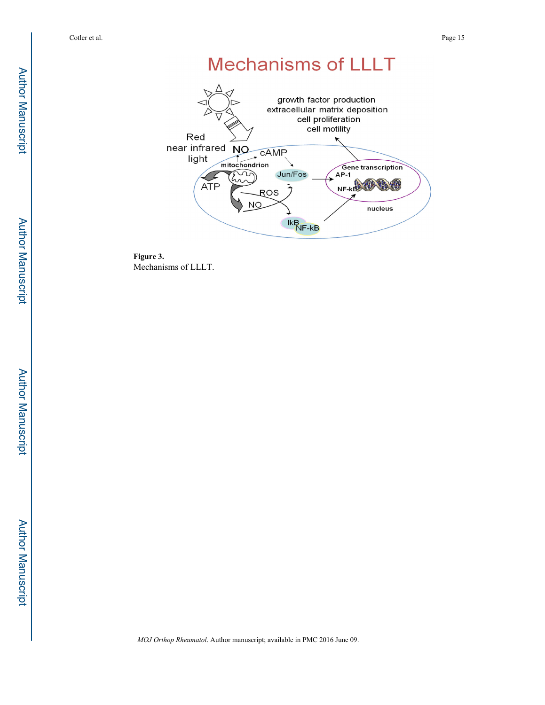# **Mechanisms of LLLT**



**Figure 3.**  Mechanisms of LLLT.